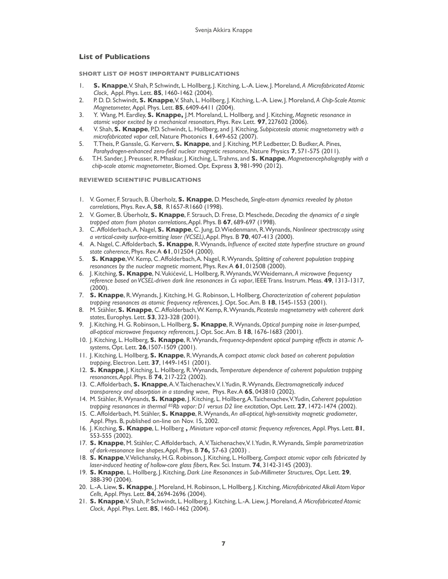# **List of Publications**

**SHORT LIST OF MOST IMPORTANT PUBLICATIONS**

- 1. **S. Knappe**, V. Shah, P. Schwindt, L. Hollberg, J. Kitching, L.-A. Liew, J. Moreland, *A Microfabricated Atomic Clock*, Appl. Phys. Lett. **85**, 1460-1462 (2004).
- 2. P. D. D. Schwindt, **S. Knappe**, V. Shah, L. Hollberg, J. Kitching, L.-A. Liew, J. Moreland, *A Chip-Scale Atomic Magnetometer,* Appl. Phys. Lett. **85**, 6409-6411 (2004).
- 3. Y. Wang, M. Eardley, **S. Knappe,** J.M. Moreland, L. Hollberg, and J. Kitching, *Magnetic resonance in atomic vapor excited by a mechanical resonators*, Phys. Rev. Lett. **97**, 227602 (2006).
- 4. V. Shah, **S. Knappe**, P.D. Schwindt, L. Hollberg, and J. Kitching, *Subpicotesla atomic magnetometry with a microfabricated vapor cell*, Nature Photonics **1**, 649-652 (2007).
- 5. T. Theis, P. Ganssle, G. Kervern, **S. Knappe**, and J. Kitching, M.P. Ledbetter, D. Budker, A. Pines, *Parahydrogen-enhanced zero-field nuclear magnetic resonance*, Nature Physics **7**, 571-575 (2011).
- 6. T.H. Sander, J. Preusser, R. Mhaskar, J. Kitching, L. Trahms, and **S. Knappe**, *Magnetoencephalography with a chip-scale atomic magnetometer*, Biomed. Opt. Express **3**, 981-990 (2012).

**REVIEWED SCIENTIFIC PUBLICATIONS**

- 1. V. Gomer, F. Strauch, B. Überholz, **S. Knappe**, D. Meschede*, Single-atom dynamics revealed by photon correlations*, Phys. Rev. A, **58**, R1657-R1660 (1998).
- 2. V. Gomer, B. Überholz, **S. Knappe**, F. Strauch, D. Frese, D. Meschede, *Decoding the dynamics of a single trapped atom from photon correlations*, Appl. Phys. B **67**, 689-697 (1998).
- 3. C. Affolderbach, A. Nagel, **S. Knappe**, C. Jung, D. Wiedenmann, R. Wynands, *Nonlinear spectroscopy using a vertical-cavity surface-emitting laser (VCSEL)*, Appl. Phys. B **70**, 407-413 (2000).
- 4. A. Nagel, C. Affolderbach, **S. Knappe**, R. Wynands, *Influence of excited state hyperfine structure on ground state coherence*, Phys. Rev. A **61**, 012504 (2000).
- 5. **S. Knappe**, W. Kemp, C. Affolderbach, A. Nagel, R. Wynands, *Splitting of coherent population trapping resonances by the nuclear magnetic moment*, Phys. Rev. A **61**, 012508 (2000).
- 6. J. Kitching, **S. Knappe**, N. Vukićević, L. Hollberg, R. Wynands, W. Weidemann, *A microwave frequency reference based on VCSEL-driven dark line resonances in Cs vapor*, IEEE Trans. Instrum. Meas. **49**, 1313-1317, (2000).
- 7. **S. Knappe**, R. Wynands, J. Kitching, H. G. Robinson, L. Hollberg, *Characterization of coherent population trapping resonances as atomic frequency references*, J. Opt. Soc. Am. B **18**, 1545-1553 (2001).
- 8. M. Stähler, **S. Knappe**, C. Affolderbach, W. Kemp, R. Wynands, *Picotesla magnetometry with coherent dark states*, Europhys. Lett. **53**, 323-328 (2001).
- 9. J. Kitching, H. G. Robinson, L. Hollberg, **S. Knappe**, R. Wynands, *Optical pumping noise in laser-pumped, all-optical microwave frequency references*, J. Opt. Soc. Am. B **18**, 1676-1683 (2001).
- 10. J. Kitching, L. Hollberg, **S. Knappe**, R. Wynands, *Frequency-dependent optical pumping effects in atomic* Λ*systems*, Opt. Lett. **26**,1507-1509 (2001).
- 11. J. Kitching, L. Hollberg, **S. Knappe**, R. Wynands, A c*ompact atomic clock based on coherent population trapping*, Electron. Lett. **37**, 1449-1451 (2001).
- 12. **S. Knappe**, J. Kitching, L. Hollberg, R. Wynands, *Temperature dependence of coherent population trapping resonances*, Appl. Phys. B **74**, 217-222 (2002).
- 13. C. Affolderbach, **S. Knappe**, A. V. Taichenachev, V. I. Yudin, R. Wynands, *Electromagnetically induced transparency and absorption in a standing wave*, Phys. Rev. A **65**, 043810 (2002).
- 14. M. Stähler, R. Wynands, **S. Knappe**, J. Kitching, L. Hollberg, A. Taichenachev, V. Yudin, *Coherent population trapping resonances in thermal 85Rb vapor: D1 versus D2 line excitation*, Opt. Lett. **27**, 1472-1474 (2002).
- 15. C. Affolderbach, M. Stähler, **S. Knappe**, R. Wynands, *An all-optical, high-sensitivity magnetic gradiometer*, Appl. Phys. B, published on-line on Nov. 15, 2002.
- 16. J. Kitching, **S. Knappe**, L. Hollberg **,** *Miniature vapor-cell atomic frequency references,* Appl. Phys. Lett. **81**, 553-555 (2002).
- 17. **S. Knappe**, M. Stähler, C. Affolderbach, A. V. Taichenachev, V. I. Yudin, R. Wynands, *Simple parametrization of dark-resonance line shapes*, Appl. Phys. B **76,** 57-63 (2003) .
- 18. **S. Knappe**, V. Velichansky, H.G. Robinson, J. Kitching, L. Hollberg, *Compact atomic vapor cells fabricated by laser-induced heating of hollow-core glass fibers*, Rev. Sci. Instum. **74**, 3142-3145 (2003).
- 19. **S. Knappe**, L. Hollberg, J. Kitching, *Dark Line Resonances in Sub-Millimeter Structures*, Opt. Lett. **29**, 388-390 (2004).
- 20. L.-A. Liew, **S. Knappe**, J. Moreland, H. Robinson, L. Hollberg, J. Kitching, *Microfabricated Alkali Atom Vapor Cells,* Appl. Phys. Lett. **84**, 2694-2696 (2004).
- 21. **S. Knappe**, V. Shah, P. Schwindt, L. Hollberg, J. Kitching, L.-A. Liew, J. Moreland, *A Microfabricated Atomic Clock*, Appl. Phys. Lett. **85**, 1460-1462 (2004).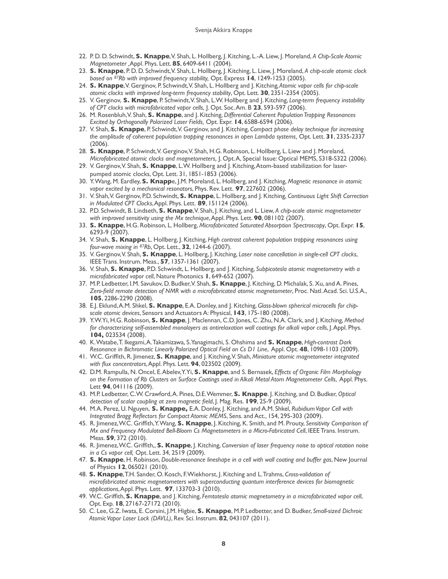- 22. P. D. D. Schwindt, **S. Knappe**, V. Shah, L. Hollberg, J. Kitching, L.-A. Liew, J. Moreland, *A Chip-Scale Atomic Magnetometer ,*Appl. Phys. Lett. **85**, 6409-6411 (2004).
- 23. **S. Knappe**, P. D. D. Schwindt, V. Shah, L. Hollberg, J. Kitching, L. Liew, J. Moreland, *A chip-scale atomic clock based on 87Rb with improved frequency stability,* Opt. Express **14**, 1249-1253 (2005).
- 24. **S. Knappe**, V. Gerginov, P. Schwindt, V. Shah, L. Hollberg and J. Kitching*, Atomic vapor cells for chip-scale atomic clocks with improved long-term frequency stability*, Opt. Lett. **30**, 2351-2354 (2005).
- 25. V. Gerginov, **S. Knappe**, P. Schwindt, V. Shah, L.W. Hollberg and J. Kitching, *Long-term frequency instability of CPT clocks with microfabricated vapor cells,* J. Opt. Soc. Am. B **23**, 593-597 (2006).
- 26. M. Rosenbluh, V. Shah, **S. Knappe**, and J. Kitching, *Differential Coherent Population Trapping Resonances Excited by Orthogonally Polarized Laser Fields,* Opt. Expr. **14**, 6588-6594 (2006).
- 27. V. Shah, **S. Knappe**, P. Schwindt, V. Gerginov, and J. Kitching, *Compact phase delay technique for increasing the amplitude of coherent population trapping resonances in open Lambda systems,* Opt. Lett. **31**, 2335-2337 (2006).
- 28. **S. Knappe**, P. Schwindt, V. Gerginov, V. Shah, H.G. Robinson, L. Hollberg, L. Liew and J. Moreland, *Microfabricated atomic clocks and magnetometers,* J. Opt. A, Special Issue: Optical MEMS, S318-S322 (2006).
- 29. V. Gerginov, V. Shah, **S. Knappe**, L.W. Hollberg and J. Kitching, Atom-based stabilization for laserpumped atomic clocks, Opt. Lett. 31, 1851-1853 (2006).
- 30. Y. Wang, M. Eardley, **S. Knapp**e, J.M. Moreland, L. Hollberg, and J. Kitching, *Magnetic resonance in atomic vapor excited by a mechanical resonators*, Phys. Rev. Lett. **97**, 227602 (2006).
- 31. V. Shah, V. Gerginov, P.D. Schwindt, **S. Knappe**, L. Hollberg, and J. Kitching, *Continuous Light Shift Correction in Modulated CPT Clocks*, Appl. Phys. Lett. **89**, 151124 (2006).
- 32. P.D. Schwindt, B. Lindseth, **S. Knappe**, V. Shah, J. Kitching, and L. Liew, *A chip-scale atomic magnetometer with improved sensitivity using the Mx technique*, Appl. Phys. Lett. **90**, 081102 (2007).
- 33. **S. Knappe**, H.G. Robinson, L. Hollberg, *Microfabricated Saturated Absorption Spectroscopy*, Opt. Expr. **15**, 6293-9 (2007).
- 34. V. Shah, **S. Knappe**, L. Hollberg, J. Kitching, *High contrast coherent population trapping resonances using four-wave mixing in 87Rb*, Opt. Lett., **32**, 1244-6 (2007).
- 35. V. Gerginov, V. Shah, **S. Knappe**, L. Hollberg, J. Kitching, *Laser noise cancellation in single-cell CPT clocks*, IEEE Trans. Instrum. Meas., **57**, 1357-1361 (2007).
- 36. V. Shah, **S. Knappe**, P.D. Schwindt, L. Hollberg, and J. Kitching, *Subpicotesla atomic magnetometry with a microfabricated vapor cell*, Nature Photonics **1**, 649-652 (2007).
- 37. M.P. Ledbetter, I.M. Savukov, D. Budker, V. Shah, **S. Knappe**, J. Kitching, D. Michalak, S. Xu, and A. Pines, *Zero-field remote detection of NMR with a microfabricated atomic magnetometer*, Proc. Natl. Acad. Sci. U.S.A., **105**, 2286-2290 (2008).
- 38. E.J. Eklund, A.M. Shkel, **S. Knappe**, E.A. Donley, and J. Kitching, *Glass-blown spherical microcells for chipscale atomic devices*, Sensors and Actuators A: Physical, **143**, 175-180 (2008).
- 39. Y.W. Yi, H.G. Robinson, **S. Knappe**, J. Maclennan, C.D. Jones, C. Zhu, N.A. Clark, and J. Kitching, *Method for characterizing self-assembled monolayers as antirelaxation wall coatings for alkali vapor cells*, J. Appl. Phys. **104,** 023534 (2008).
- 40. K. Watabe, T. Ikegami, A. Takamizawa, S. Yanagimachi, S. Ohshima and **S. Knappe**, *High-contrast Dark Resonance in Bichromatic Linearly Polarized Optical Field on Cs D1 Line*, Appl. Opt. **48**, 1098-1103 (2009).
- 41. W.C. Griffith, R. Jimenez, **S. Knappe**, and J. Kitching, V. Shah, *Miniature atomic magnetometer integrated with flux concentrators*, Appl. Phys. Lett. **94**, 023502 (2009).
- 42. D.M. Rampulla, N. Oncel, E. Abelev, Y. Yi, **S. Knappe**, and S. Bernasek, *Effects of Organic Film Morphology on the Formation of Rb Clusters on Surface Coatings used in Alkali Metal Atom Magnetometer Cells*, Appl. Phys. Lett **94**, 041116 (2009).
- 43. M.P. Ledbetter, C.W. Crawford, A. Pines, D.E. Wemmer, **S. Knappe**. J. Kitching, and D. Budker, *Optical detection of scalar coupling at zero magnetic field*, J. Mag. Res. **199**, 25-9 (2009).
- 44. M.A. Perez, U. Nguyen, **S. Knappe,** E.A. Donley, J. Kitching, and A.M. Shkel, *Rubidium Vapor Cell with Integrated Bragg Reflectors for Compact Atomic MEMS*, Sens. and Act., 154, 295-303 (2009).
- 45. R. Jimenez, W.C. Griffith, Y. Wang, **S. Knappe**, J. Kitching, K. Smith, and M. Prouty, *Sensitivity Comparison of Mx and Frequency Modulated Bell-Bloom Cs Magnetometers in a Micro-Fabricated Cell*, IEEE Trans. Instrum. Meas. **59**, 372 (2010).
- 46. R. Jimenez, W.C. Griffith,, **S. Knappe**, J. Kitching, *Conversion of laser frequency noise to optical rotation noise in a Cs vapor cell,* Opt. Lett. 34, 2519 (2009).
- 47. **S. Knappe**, H. Robinson, *Double-resonance lineshape in a cell with wall coating and buffer gas*, New Journal of Physics **12**, 065021 (2010).
- 48. **S. Knappe**, T.H. Sander, O. Kosch, F. Wiekhorst, J. Kitching and L. Trahms, *Cross-validation of microfabricated atomic magnetometers with superconducting quantum interference devices for biomagnetic applications*, Appl. Phys. Lett. **97**, 133703-3 (2010).
- 49. W.C. Griffith, **S. Knappe**, and J. Kitching, *Femtotesla atomic magnetometry in a microfabricated vapor cell*, Opt. Exp. **18**, 27167-27172 (2010).
- 50. C. Lee, G.Z. Iwata, E. Corsini, J.M. Higbie, **S. Knappe**, M.P. Ledbetter, and D. Budker, *Small-sized Dichroic Atomic Vapor Laser Lock (DAVLL)*, Rev. Sci. Instrum. **82**, 043107 (2011).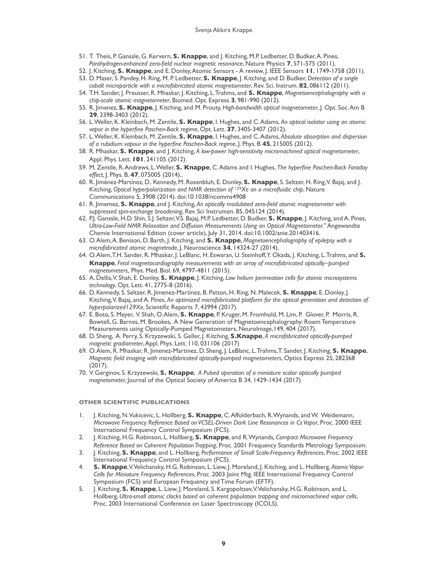#### Svenja Akkira Knappe

- 51. T. Theis, P. Ganssle, G. Kervern, **S. Knappe**, and J. Kitching, M.P. Ledbetter, D. Budker, A. Pines, *Parahydrogen-enhanced zero-field nuclear magnetic resonance*, Nature Physics **7**, 571-575 (2011).
- 52. J. Kitching, **S. Knappe**, and E. Donley, Atomic Sensors A review, J. IEEE Sensors **11**, 1749-1758 (2011).
- 53. D. Maser, S. Pandey, H. Ring, M. P. Ledbetter, **S. Knappe**, J. Kitching, and D. Budker, *Detection of a single*
- *cobalt microparticle with a microfabricated atomic magnetometer*, Rev. Sci. Instrum. **82**, 086112 (2011). 54. T.H. Sander, J. Preusser, R. Mhaskar, J. Kitching, L. Trahms, and **S. Knappe**, *Magnetoencephalography with a*
- *chip-scale atomic magnetometer*, Biomed. Opt. Express **3**, 981-990 (2012).
- 55. R. Jimenez, **S. Knappe**, J. Kitching, and M. Prouty, *High-bandwidth optical magnetometer*, J. Opt. Soc. Am B **29**, 3398-3403 (2012).
- 56. L. Weller, K. Kleinbach, M. Zentile, **S. Knappe**, I. Hughes, and C. Adams, *An optical isolator using an atomic vapor in the hyperfine Paschen-Back regime*, Opt. Lett. **37**, 3405-3407 (2012).
- 57. L. Weller, K. Kleinbach, M. Zentile, **S. Knappe**, I. Hughes, and C. Adams, *Absolute absorption and dispersion of a rubidium vapour in the hyperfine Paschen-Back regime*, J. Phys. B **45**, 215005 (2012).
- 58. R. Mhaskar, **S. Knappe**, and J. Kitching, *A low-power high-sensitivity micromachined optical magnetometer*, Appl. Phys. Lett. **101**, 241105 (2012).
- 59. M. Zentile, R. Andrews, L. Weller, **S. Knappe**, C. Adams and I. Hughes, *The hyperfine Paschen-Back Faraday effect*, J. Phys. B. **47**, 075005 (2014)..
- 60. R. Jiménez-Martínez, D.. Kennedy, M. Rosenbluh, E. Donley, **S. Knappe**, S. Seltzer, H. Ring, V. Bajaj, and J. Kitching, *Optical hyperpolarization and NMR detection of 129Xe on a microfluidic chip*, Nature Communications 5, 3908 (2014). doi:10.1038/ncomms4908
- 61. R. Jimemez, **S. Knappe**, and J. Kitching, *An optically modulated zero-field atomic magnetometer with suppressed spin-exchange broadening*, Rev. Sci Instrumen. 85, 045124 (2014).
- 62. P.J. Ganssle, H.D. Shin, S.J. Seltzer, V.S. Bajaj, M.P. Ledbetter, D. Budker, **S. Knappe**, J. Kitching, and A. Pines, *Ultra-Low-Field NMR Relaxation and Diffusion Measurements Using an Optical Magnetometer."* Angewandte Chemie International Edition (cover article), July 31, 2014. doi:10.1002/anie.201403416.
- 63. O. Alem, A. Benison, D. Barth, J. Kitching, and **S. Knappe**, *Magnetoencephalography of epilepsy with a microfabricated atomic magnetrode*, J. Neuroscience **34**, 14324-27 (2014).
- 64. O. Alem, T.H. Sander, R. Mhaskar, J. LeBlanc, H. Eswaran, U. Steinhoff, Y. Okada, J. Kitching, L. Trahms, and **S. Knappe**, *Fetal magnetocardiography measurements with an array of microfabricated optically*-*pumped magnetometers,* Phys. Med. Biol. 69, 4797-4811 (2015).
- 65. A. Dellis, V. Shah, E. Donley, **S. Knappe**, J. Kitching, *Low helium permeation cells for atomic microsystems technology*, Opt. Lett. 41, 2775-8 (2016).
- 66. D. Kennedy, S. Seltzer, R. Jimenez-Martinez, B. Patton, H. Ring, N. Malecek, **S. Knappe**, E. Donley, J. Kitching, V. Bajaj, and A. Pines, *An optimized microfabricated platform for the optical generation and detection of hyperpolarized129Xe*, Scientific Reports 7, 43994 (2017).
- 67. E. Boto, S. Meyer, V. Shah, O. Alem, **S. Knappe**, P. Kruger, M. Fromhold, M. Lim, P. Glover, P. Morris, R. Bowtell, G. Barnes, M. Brookes, A New Generation of Magnetoencephalography: Room Temperature Measurements using Optically-Pumped Magnetometers, NeuroImage,149, 404 (2017).
- 68. D. Sheng, A. Perry, S. Krzyzewski, S. Geller, J. Kitching, **S.Knappe**, *A microfabricated optically-pumped magnetic gradiometer*, Appl. Phys. Lett. 110, 031106 (2017)
- 69. O. Alem, R. Mhaskar, R. Jimenez-Martinez, D. Sheng, J. LeBlanc, L. Trahms, T. Sander, J. Kitching, **S. Knappe**, *Magnetic field imaging with microfabricated optically-pumped magnetometers*, Optics Express 25, 282368 (2017).
- 70. V. Gerginov, S. Krzyzewski, **S. Knappe**, *A Pulsed operation of a miniature scalar optically pumped magnetometer,* Journal of the Optical Society of America B 34, 1429-1434 (2017)

## **OTHER SCIENTIFIC PUBLICATIONS**

- 1. J. Kitching, N. Vukicevic, L. Hollberg, **S. Knappe**, C. Affolderbach, R. Wynands, and W. Weidemann, *Microwave Frequency Reference Based on VCSEL-Driven Dark Line Resonances in Cs Vapor*, Proc. 2000 IEEE International Frequency Control Symposium (FCS).
- 2. J. Kitching, H.G. Robinson, L. Hollberg, **S. Knappe**, and R. Wynands*, [Compact Microwave Frequency](http://www.boulder.nist.gov/timefreq/general/pdf/1580.pdf)  [Reference Based on Coherent Population Trapping](http://www.boulder.nist.gov/timefreq/general/pdf/1580.pdf)*, Proc. 2001 Frequency Standards Metrology Symposium.
- 3. J. Kitching, **S. Knappe**, and L. Hollberg, *[Performance of Small Scale-Frequency References](http://www.boulder.nist.gov/timefreq/general/pdf/1803.pdf)*, Proc. 2002 IEEE International Frequency Control Symposium (FCS).
- 4. **S. Knappe**, V. Velichansky, H.G. Robinson, L. Liew, J. Moreland, J. Kitching, and L. Hollberg, *[Atomic Vapor](http://www.boulder.nist.gov/timefreq/general/pdf/1892.pdf)  [Cells for Miniature Frequency References](http://www.boulder.nist.gov/timefreq/general/pdf/1892.pdf)*, Proc. 2003 Joint Mtg. IEEE International Frequency Control Symposium (FCS) and European Frequency and Time Forum (EFTF).
- 5. J. Kitching, **S. Knappe**, L. Liew, J. Moreland, S. Kargopoltsev, V. Velichansky, H.G. Robinson, and L. Hollberg, *Ultra-small atomic clocks based on coherent population trapping and micromachined vapor cells*, Proc. 2003 International Conference on Laser Spectroscopy (ICOLS).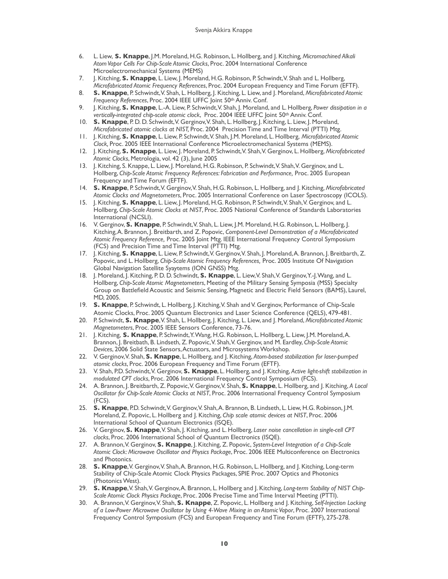- 6. L. Liew, **S. Knappe**, J.M. Moreland, H.G. Robinson, L. Hollberg, and J. Kitching*, [Micromachined Alkali](http://www.boulder.nist.gov/timefreq/general/pdf/1915.pdf)  [Atom Vapor Cells For Chip-Scale Atomic Clocks](http://www.boulder.nist.gov/timefreq/general/pdf/1915.pdf)*, Proc. 2004 International Conference Microelectromechanical Systems (MEMS)
- 7. J. Kitching, **S. Knappe**, L. Liew, J. Moreland, H.G. Robinson, P. Schwindt, V. Shah and L. Hollberg, *Microfabricated Atomic Frequency References*, Proc. 2004 European Frequency and Time Forum (EFTF).
- 8. **S. Knappe**, P. Schwindt, V. Shah, L. Hollberg, J. Kitching, L. Liew, and J. Moreland, *Microfabricated Atomic Frequency References*, Proc. 2004 IEEE UFFC Joint 50th Anniv. Conf.
- 9. J. Kitching, **S. Knappe**, L.-A. Liew, P. Schwindt, V. Shah, J. Moreland, and L. Hollberg, *Power dissipation in a vertically-integrated chip-scale atomic clock*, Proc. 2004 IEEE UFFC Joint 50th Anniv. Conf.
- 10. **S. Knappe**, P. D. D. Schwindt, V. Gerginov, V. Shah, L. Hollberg, J. Kitching, L. Liew, J. Moreland, *Microfabricated atomic clocks at NIST,* Proc. 2004 Precision Time and Time Interval (PTTI) Mtg.
- 11. J. Kitching, **S. Knappe**, L. Liew, P. Schwindt, V. Shah, J.M. Moreland, L. Hollberg, *Microfabricated Atomic Clock,* Proc. 2005 IEEE International Conference Microelectromechanical Systems (MEMS).
- 12. J. Kitching, **S. Knappe**, L. Liew, J. Moreland, P. Schwindt, V. Shah, V. Gerginov, L. Hollberg, *Microfabricated Atomic Clocks*, Metrologia, vol. 42 (3), June 2005
- 13. J. Kitching, S. Knappe, L. Liew, J. Moreland, H.G. Robinson, P. Schwindt, V. Shah, V. Gerginov, and L. Hollberg, *Chip-Scale Atomic Frequency References: Fabrication and Performance,* Proc. 2005 European Frequency and Time Forum (EFTF).
- 14. **S. Knappe**, P. Schwindt, V. Gerginov, V. Shah, H.G. Robinson, L. Hollberg, and J. Kitching, *Microfabricated Atomic Clocks and Magnetometers*, Proc. 2005 International Conference on Laser Spectroscopy (ICOLS).
- 15. J. Kitching, **S. Knappe**, L. Liew, J. Moreland, H.G. Robinson, P. Schwindt, V. Shah, V. Gerginov, and L. Hollberg, *Chip-Scale Atomic Clocks at NIST*, Proc. 2005 National Conference of Standards Laboratories International (NCSLI).
- 16. V. Gerginov, **S. Knappe**, P. Schwindt, V. Shah, L. Liew, J.M. Moreland, H.G. Robinson, L. Hollberg, J. Kitching, A. Brannon, J. Breitbarth, and Z. Popovic, *Component-Level Demonstration of a Microfabricated Atomic Frequency Reference,* Proc. 2005 Joint Mtg. IEEE International Frequency Control Symposium (FCS) and Precision Time and Time Interval (PTTI) Mtg.
- 17. J. Kitching, **S. Knappe**, L. Liew, P. Schwindt, V. Gerginov, V. Shah, J. Moreland, A. Brannon, J. Breitbarth, Z. Popovic, and L. Hollberg, *Chip-Scale Atomic Frequency References,* Proc. 2005 Institute Of Navigation Global Navigation Satellite Syaytems (ION GNSS) Mtg.
- 18. J. Moreland, J. Kitching, P. D. D. Schwindt, **S. Knappe**, L. Liew, V. Shah, V. Gerginov, Y.-J. Wang, and L. Hollberg, *Chip-Scale Atomic Magnetometers*, Meeting of the Military Sensing Symposia (MSS) Specialty Group on Battlefield Acoustic and Seismic Sensing, Magnetic and Electric Field Sensors (BAMS), Laurel, MD, 2005.
- 19. **S. Knappe**, P. Schwindt, L. Hollberg, J. Kitching, V. Shah and V. Gerginov, Performance of Chip-Scale Atomic Clocks, Proc. 2005 Quantum Electronics and Laser Science Conference (QELS), 479-481.
- 20. P. Schwindt, **S. Knappe**, V. Shah, L. Hollberg, J. Kitching, L. Liew, and J. Moreland, *Microfabricated Atomic Magnetometers*, Proc. 2005 IEEE Sensors Conference, 73-76.
- 21. J. Kitching, **S. Knappe**, P. Schwindt, Y. Wang, H.G. Robinson, L. Hollberg, L. Liew, J.M. Moreland, A. Brannon, J. Breitbath, B. Lindseth, Z. Popovic, V. Shah, V. Gerginov, and M. Eardley, *Chip-Scale Atomic Devices*, 2006 Solid State Sensors, Actuators, and Microsystems Workshop.
- 22. V. Gerginov, V. Shah, **S. Knappe**, L. Hollberg, and J. Kitching, *Atom-based stabilization for laser-pumped atomic clocks*, Proc. 2006 European Frequency and Time Forum (EFTF).
- 23. V. Shah, P.D. Schwindt, V. Gerginov, **S. Knappe**, L. Hollberg, and J. Kitching, *Active light-shift stabilization in modulated CPT clocks*, Proc. 2006 International Frequency Control Symposium (FCS).
- 24. A. Brannon, J. Breitbarth, Z. Popovic, V. Gerginov, V. Shah, **S. Knappe**, L. Hollberg, and J. Kitching, *A Local Oscillator for Chip-Scale Atomic Clocks at NIST*, Proc. 2006 International Frequency Control Symposium (FCS).
- 25. **S. Knappe**, P.D. Schwindt, V. Gerginov, V. Shah, A. Brannon, B. Lindseth, L. Liew, H.G. Robinson, J.M. Moreland, Z. Popovic, L. Hollberg and J. Kitching, *Chip scale atomic devices at NIST*, Proc. 2006 International School of Quantum Electronics (ISQE).
- 26. V. Gerginov, **S. Knappe**, V. Shah, J. Kitching, and L. Hollberg, *Laser noise cancellation in single-cell CPT clocks*, Proc. 2006 International School of Quantum Electronics (ISQE).
- 27. A. Brannon, V. Gerginov, **S. Knappe**, J. Kitching, Z. Popovic, *System-Level Integration of a Chip-Scale Atomic Clock: Microwave Oscillator and Physics Package*, Proc. 2006 IEEE Multiconference on Electronics and Photonics.
- 28. **S. Knappe**, V. Gerginov, V. Shah, A. Brannon, H.G. Robinson, L. Hollberg, and J. Kitching, Long-term Stability of Chip-Scale Atomic Clock Physics Packages, SPIE Proc. 2007 Optics and Photonics (Photonics West).
- 29. **S. Knappe**, V. Shah, V. Gerginov, A. Brannon, L. Hollberg and J. Kitching, *Long-term Stability of NIST Chip-Scale Atomic Clock Physics Package*, Proc. 2006 Precise Time and Time Interval Meeting (PTTI).
- 30. A. Brannon, V. Gerginov, V. Shah, **S. Knappe**, Z. Popovic, L. Hollberg and J. Kitching, *Self-Injection Locking of a Low-Power Microwave Oscillator by Using 4-Wave Mixing in an Atomic Vapor*, Proc. 2007 International Frequency Control Symposium (FCS) and European Frequency and Tine Forum (EFTF), 275-278.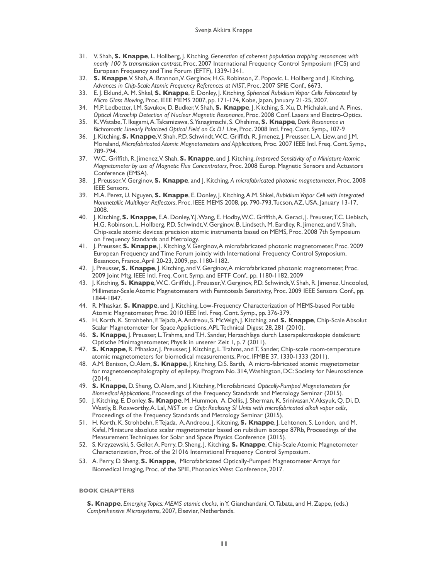- 31. V. Shah, **S. Knappe**, L. Hollberg, J. Kitching, *Generation of coherent population trapping resonances with nearly 100 % transmission contrast*, Proc. 2007 International Frequency Control Symposium (FCS) and European Frequency and Tine Forum (EFTF), 1339-1341.
- 32. **S. Knappe**, V. Shah, A. Brannon, V. Gerginov, H.G. Robinson, Z. Popovic, L. Hollberg and J. Kitching, *Advances in Chip-Scale Atomic Frequency References at NIST*, Proc. 2007 SPIE Conf., 6673.
- 33. E. J. Eklund, A. M. Shkel, **S. Knappe**, E. Donley, J. Kitching, *Spherical Rubidium Vapor Cells Fabricated by Micro Glass Blowing*, Proc. IEEE MEMS 2007, pp. 171-174, Kobe, Japan, January 21-25, 2007.
- 34. M.P. Ledbetter, I.M. Savukov, D. Budker, V. Shah, **S. Knappe**, J. Kitching, S. Xu, D. Michalak, and A. Pines, *Optical Microchip Detection of Nuclear Magnetic Resonance*, Proc. 2008 Conf. Lasers and Electro-Optics.
- 35. K. Watabe, T. Ikegami, A. Takamizawa, S. Yanagimachi, S. Ohshima, **S. Knappe**, *Dark Resonance in Bichromatic Linearly Polarized Optical Field on Cs D1 Line*, Proc. 2008 Intl. Freq. Cont. Symp., 107-9
- 36. J. Kitching, **S. Knappe**, V. Shah, P.D. Schwindt, W.C. Griffith, R. Jimenez, J. Preusser, L.A. Liew, and J.M. Moreland, *Microfabricated Atomic Magnetometers and Applications*, Proc. 2007 IEEE Intl. Freq. Cont. Symp., 789-794.
- 37. W.C. Griffith, R. Jimenez, V. Shah, **S. Knappe**, and J. Kitching, *Improved Sensitivity of a Miniature Atomic Magnetometer by use of Magnetic Flux Concentrators*, Proc. 2008 Europ. Magnetic Sensors and Actuators Conference (EMSA).
- 38. J. Preusser, V. Gerginov, **S. Knappe**, and J. Kitching, *A microfabricated photonic magnetometer*, Proc. 2008 IEEE Sensors.
- 39. M.A. Perez, U. Nguyen, **S. Knappe**, E. Donley, J. Kitching, A.M. Shkel, *Rubidium Vapor Cell with Integrated Nonmetallic Multilayer Reflectors*, Proc. IEEE MEMS 2008, pp. 790-793, Tucson, AZ, USA, January 13-17, 2008.
- 40. J. Kitching, **S. Knappe**, E.A. Donley, Y.J. Wang, E. Hodby, W.C. Griffith, A. Geraci, J. Preusser, T.C. Liebisch, H.G. Robinson, L. Hollberg, P.D. Schwindt, V. Gerginov, B. Lindseth, M. Eardley, R. Jimenez, and V. Shah, Chip-scale atomic devices: precision atomic instruments based on MEMS, Proc. 2008 7th Symposium on Frequency Standards and Metrology.
- 41. J. Preusser, **S. Knappe**, J. Kitching, V. Gerginov, A microfabricated photonic magnetometer, Proc. 2009 European Frequency and Time Forum jointly with International Frequency Control Symposium, Besancon, France, April 20-23, 2009, pp. 1180-1182.
- 42. J. Preusser, **S. Knappe**, J. Kitching, and V. Gerginov, A microfabricated photonic magnetometer, Proc. 2009 Joint Mtg. IEEE Intl. Freq. Cont. Symp. and EFTF Conf., pp. 1180-1182, 2009
- 43. J. Kitching, **S. Knappe**, W.C. Griffith, J. Preusser, V. Gerginov, P.D. Schwindt, V. Shah, R. Jimenez, Uncooled, Millimeter-Scale Atomic Magnetometers with Femtotesla Sensitivity, Proc. 2009 IEEE Sensors Conf., pp. 1844-1847.
- 44. R. Mhaskar, **S. Knappe**, and J. Kitching, Low-Frequency Characterization of MEMS-based Portable Atomic Magnetometer, Proc. 2010 IEEE Intl. Freq. Cont. Symp., pp. 376-379.
- 45. H. Korth, K. Strohbehn, F. Tejada, A. Andreou, S. McVeigh, J. Kitching, and **S. Knappe**, Chip-Scale Absolut Scalar Magnetometer for Space Applictions, APL Technical Digest 28, 281 (2010).
- 46. **S. Knappe**, J. Preusser, L. Trahms, and T.H. Sander, Herzschläge durch Laserspektroskopie detektiert: Optische Minimagnetometer, Physik in unserer Zeit 1, p. 7 (2011).
- 47. **S. Knappe**, R. Mhaskar, J. Preusser, J. Kitching, L. Trahms, and T. Sander, Chip-scale room-temperature atomic magnetometers for biomedical measurements, Proc. IFMBE 37, 1330-1333 (2011).
- 48. A.M. Benison, O. Alem, **S. Knappe**, J. Kitching, D.S. Barth, A micro-fabricated atomic magnetometer for magnetoencephalography of epilepsy. Program No. 314, Washington, DC: Society for Neuroscience  $(2014).$
- 49. **S. Knappe**, D. Sheng, O. Alem, and J. Kitching, Microfabricatd *Optically-Pumped Magnetometers for Biomedical Applications*, Proceedings of the Frequency Standards and Metrology Seminar (2015)*.*
- 50. J. Kitching, E. Donley, **S. Knappe**, M. Hummon, A. Dellis, J. Sherman, K. Srinivasan, V. Aksyuk, Q. Di, D. Westly, B. Roxworthy, A. Lal, *NIST on a Chip: Realizing SI Units with microfabricated alkali vapor cells*, Proceedings of the Frequency Standards and Metrology Seminar (2015)*.*
- 51. H. Korth, K. Strohbehn, F. Tejada, A. Andreou, J. Kitcning, **S. Knappe**, J. Lehtonen, S. London, and M. Kafel, Miniature absolute scalar magnetometer based on rubidium isotope 87Rb, Proceedings of the Measurement Techniques for Solar and Space Physics Conference (2015)*.*
- 52. S. Krzyzewski, S. Geller, A. Perry, D. Sheng, J. Kitching, **S. Knappe**, Chip-Scale Atomic Magnetometer Characterization, Proc. of the 21016 International Frequency Control Symposium.
- 53. A. Perry, D. Sheng, **S. Knappe**, [Microfabricated Optically-Pumped Magnetometer Arrays for](javascript:loadDetail()  [Biomedical Imaging](javascript:loadDetail(), Proc. of the SPIE, Photonics West Conference, 2017.

## **BOOK CHAPTERS**

**S. Knappe**, *Emerging Topics: MEMS atomic clocks*, in Y. Gianchandani, O. Tabata, and H. Zappe, (eds.) *Comprehensive Microsystems*, 2007, Elsevier, Netherlands.